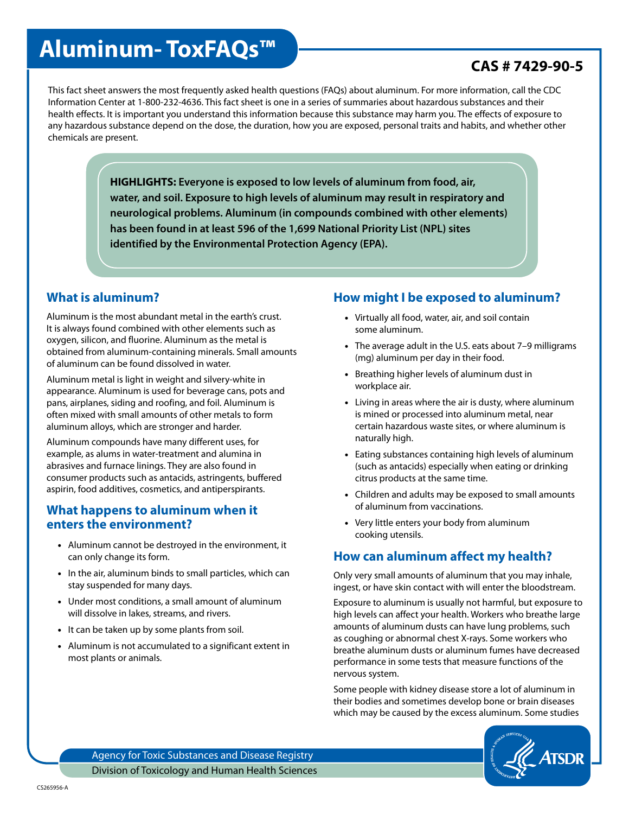# **Aluminum- ToxFAQs™**

# **CAS # 7429-90-5**

This fact sheet answers the most frequently asked health questions (FAQs) about aluminum. For more information, call the CDC Information Center at 1-800-232-4636. This fact sheet is one in a series of summaries about hazardous substances and their health effects. It is important you understand this information because this substance may harm you. The effects of exposure to any hazardous substance depend on the dose, the duration, how you are exposed, personal traits and habits, and whether other chemicals are present.

> **HIGHLIGHTS: Everyone is exposed to low levels of aluminum from food, air, water, and soil. Exposure to high levels of aluminum may result in respiratory and neurological problems. Aluminum (in compounds combined with other elements) has been found in at least 596 of the 1,699 National Priority List (NPL) sites identified by the Environmental Protection Agency (EPA).**

## **What is aluminum?**

Aluminum is the most abundant metal in the earth's crust. It is always found combined with other elements such as oxygen, silicon, and fluorine. Aluminum as the metal is obtained from aluminum-containing minerals. Small amounts of aluminum can be found dissolved in water.

Aluminum metal is light in weight and silvery-white in appearance. Aluminum is used for beverage cans, pots and pans, airplanes, siding and roofing, and foil. Aluminum is often mixed with small amounts of other metals to form aluminum alloys, which are stronger and harder.

Aluminum compounds have many different uses, for example, as alums in water-treatment and alumina in abrasives and furnace linings. They are also found in consumer products such as antacids, astringents, buffered aspirin, food additives, cosmetics, and antiperspirants.

#### **What happens to aluminum when it enters the environment?**

- Aluminum cannot be destroyed in the environment, it can only change its form.
- In the air, aluminum binds to small particles, which can stay suspended for many days.
- Under most conditions, a small amount of aluminum will dissolve in lakes, streams, and rivers.
- It can be taken up by some plants from soil.
- Aluminum is not accumulated to a significant extent in most plants or animals.

## **How might I be exposed to aluminum?**

- Virtually all food, water, air, and soil contain some aluminum.
- The average adult in the U.S. eats about 7–9 milligrams (mg) aluminum per day in their food.
- Breathing higher levels of aluminum dust in workplace air.
- Living in areas where the air is dusty, where aluminum is mined or processed into aluminum metal, near certain hazardous waste sites, or where aluminum is naturally high.
- Eating substances containing high levels of aluminum (such as antacids) especially when eating or drinking citrus products at the same time.
- Children and adults may be exposed to small amounts of aluminum from vaccinations.
- Very little enters your body from aluminum cooking utensils.

# **How can aluminum affect my health?**

Only very small amounts of aluminum that you may inhale, ingest, or have skin contact with will enter the bloodstream.

Exposure to aluminum is usually not harmful, but exposure to high levels can affect your health. Workers who breathe large amounts of aluminum dusts can have lung problems, such as coughing or abnormal chest X-rays. Some workers who breathe aluminum dusts or aluminum fumes have decreased performance in some tests that measure functions of the nervous system.

Some people with kidney disease store a lot of aluminum in their bodies and sometimes develop bone or brain diseases which may be caused by the excess aluminum. Some studies



Agency for Toxic Substances and Disease Registry Division of Toxicology and Human Health Sciences